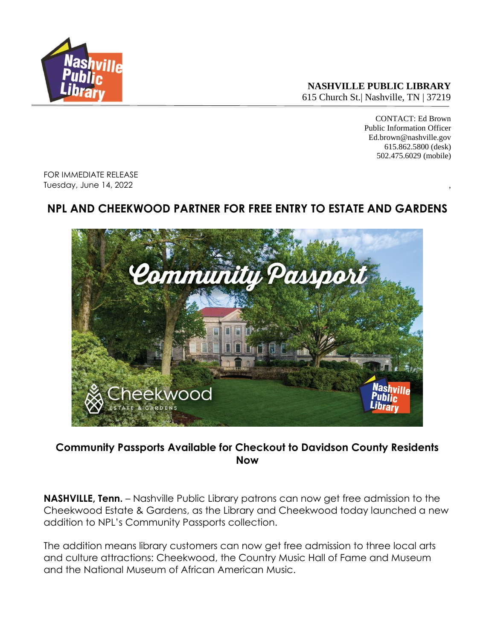

**NASHVILLE PUBLIC LIBRARY** 615 Church St.| Nashville, TN | 37219

> CONTACT: Ed Brown Public Information Officer Ed.brown@nashville.gov 615.862.5800 (desk) 502.475.6029 (mobile)

FOR IMMEDIATE RELEASE Tuesday, June 14, 2022 ,

## **NPL AND CHEEKWOOD PARTNER FOR FREE ENTRY TO ESTATE AND GARDENS**



**Community Passports Available for Checkout to Davidson County Residents Now**

**NASHVILLE, Tenn.** – Nashville Public Library patrons can now get free admission to the Cheekwood Estate & Gardens, as the Library and Cheekwood today launched a new addition to NPL's Community Passports collection.

The addition means library customers can now get free admission to three local arts and culture attractions: Cheekwood, the Country Music Hall of Fame and Museum and the National Museum of African American Music.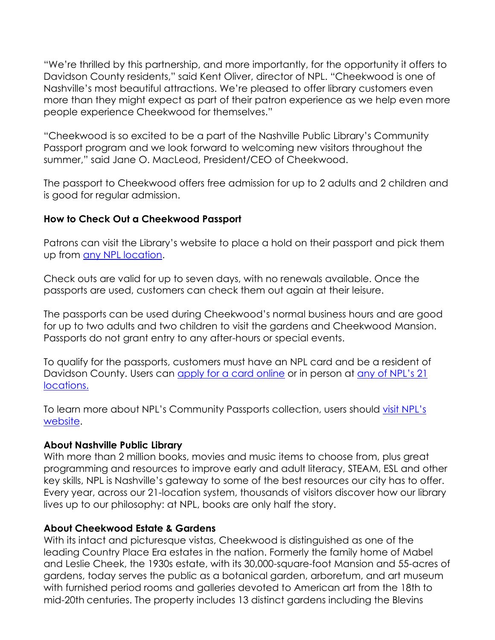"We're thrilled by this partnership, and more importantly, for the opportunity it offers to Davidson County residents," said Kent Oliver, director of NPL. "Cheekwood is one of Nashville's most beautiful attractions. We're pleased to offer library customers even more than they might expect as part of their patron experience as we help even more people experience Cheekwood for themselves."

"Cheekwood is so excited to be a part of the Nashville Public Library's Community Passport program and we look forward to welcoming new visitors throughout the summer," said Jane O. MacLeod, President/CEO of Cheekwood.

The passport to Cheekwood offers free admission for up to 2 adults and 2 children and is good for regular admission.

## **How to Check Out a Cheekwood Passport**

Patrons can visit the Library's website to place a hold on their passport and pick them up from [any NPL location.](https://library.nashville.org/locations)

Check outs are valid for up to seven days, with no renewals available. Once the passports are used, customers can check them out again at their leisure.

The passports can be used during Cheekwood's [normal business hours](https://cheekwood.org/buy-tickets/) and are good for up to two adults and two children to visit the gardens and Cheekwood Mansion. Passports do not grant entry to any after-hours or special events.

To qualify for the passports, customers must have an NPL card and be a resident of Davidson County. Users can [apply for a card online](https://library.nashville.org/get-card) or in person at [any of NPL's 21](https://library.nashville.org/locations)  [locations.](https://library.nashville.org/locations)

To learn more about NPL's Community Passports collection, users should [visit NPL's](https://library.nashville.org/services/community-passports)  [website.](https://library.nashville.org/services/community-passports)

## **About Nashville Public Library**

With more than 2 million books, movies and music items to choose from, plus great programming and resources to improve early and adult literacy, STEAM, ESL and other key skills, NPL is Nashville's gateway to some of the best resources our city has to offer. Every year, across our 21-location system, thousands of visitors discover how our library lives up to our philosophy: at NPL, books are only half the story.

## **About Cheekwood Estate & Gardens**

With its intact and picturesque vistas, Cheekwood is distinguished as one of the leading Country Place Era estates in the nation. Formerly the family home of Mabel and Leslie Cheek, the 1930s estate, with its 30,000-square-foot Mansion and 55-acres of gardens, today serves the public as a botanical garden, arboretum, and art museum with furnished period rooms and galleries devoted to American art from the 18th to mid-20th centuries. The property includes 13 distinct gardens including the Blevins